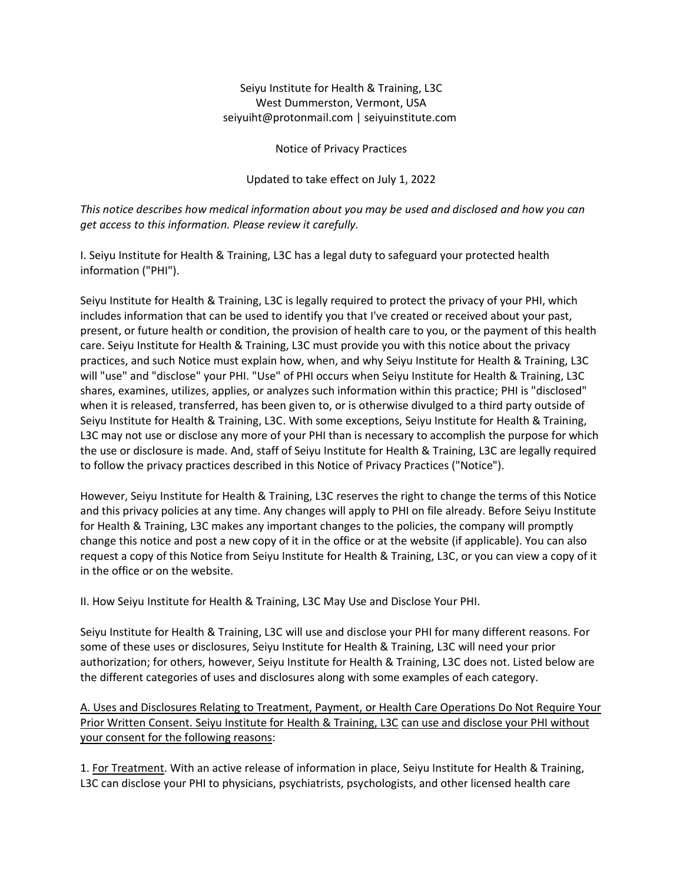# Seiyu Institute for Health & Training, L3C West Dummerston, Vermont, USA seiyuiht@protonmail.com | seiyuinstitute.com

Notice of Privacy Practices

Updated to take effect on July 1, 2022

*This notice describes how medical information about you may be used and disclosed and how you can get access to this information. Please review it carefully.*

I. Seiyu Institute for Health & Training, L3C has a legal duty to safeguard your protected health information ("PHI").

Seiyu Institute for Health & Training, L3C is legally required to protect the privacy of your PHI, which includes information that can be used to identify you that I've created or received about your past, present, or future health or condition, the provision of health care to you, or the payment of this health care. Seiyu Institute for Health & Training, L3C must provide you with this notice about the privacy practices, and such Notice must explain how, when, and why Seiyu Institute for Health & Training, L3C will "use" and "disclose" your PHI. "Use" of PHI occurs when Seiyu Institute for Health & Training, L3C shares, examines, utilizes, applies, or analyzes such information within this practice; PHI is "disclosed" when it is released, transferred, has been given to, or is otherwise divulged to a third party outside of Seiyu Institute for Health & Training, L3C. With some exceptions, Seiyu Institute for Health & Training, L3C may not use or disclose any more of your PHI than is necessary to accomplish the purpose for which the use or disclosure is made. And, staff of Seiyu Institute for Health & Training, L3C are legally required to follow the privacy practices described in this Notice of Privacy Practices ("Notice").

However, Seiyu Institute for Health & Training, L3C reserves the right to change the terms of this Notice and this privacy policies at any time. Any changes will apply to PHI on file already. Before Seiyu Institute for Health & Training, L3C makes any important changes to the policies, the company will promptly change this notice and post a new copy of it in the office or at the website (if applicable). You can also request a copy of this Notice from Seiyu Institute for Health & Training, L3C, or you can view a copy of it in the office or on the website.

II. How Seiyu Institute for Health & Training, L3C May Use and Disclose Your PHI.

Seiyu Institute for Health & Training, L3C will use and disclose your PHI for many different reasons. For some of these uses or disclosures, Seiyu Institute for Health & Training, L3C will need your prior authorization; for others, however, Seiyu Institute for Health & Training, L3C does not. Listed below are the different categories of uses and disclosures along with some examples of each category.

A. Uses and Disclosures Relating to Treatment, Payment, or Health Care Operations Do Not Require Your Prior Written Consent. Seiyu Institute for Health & Training, L3C can use and disclose your PHI without your consent for the following reasons:

1. For Treatment. With an active release of information in place, Seiyu Institute for Health & Training, L3C can disclose your PHI to physicians, psychiatrists, psychologists, and other licensed health care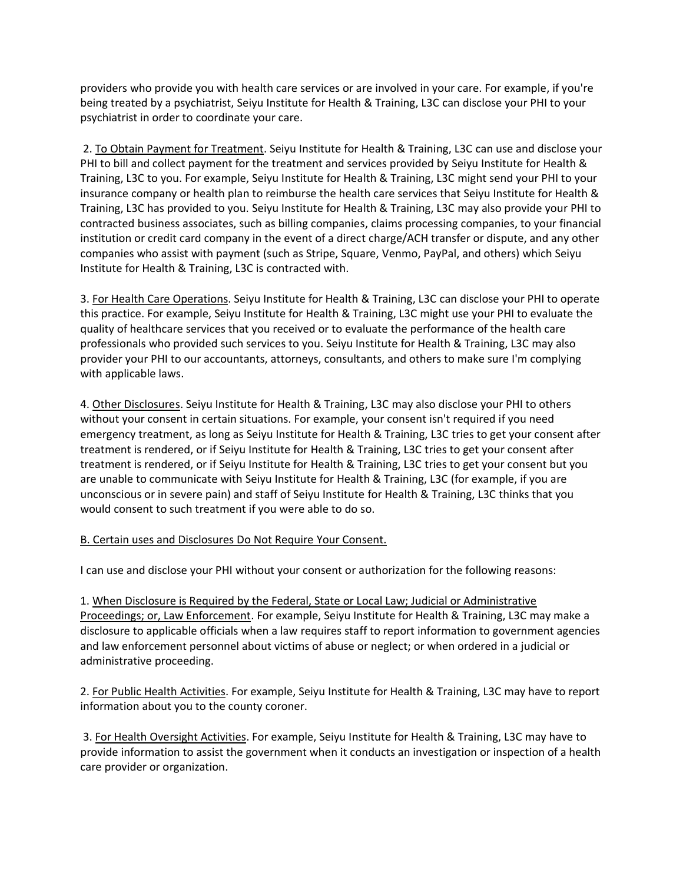providers who provide you with health care services or are involved in your care. For example, if you're being treated by a psychiatrist, Seiyu Institute for Health & Training, L3C can disclose your PHI to your psychiatrist in order to coordinate your care.

2. To Obtain Payment for Treatment. Seiyu Institute for Health & Training, L3C can use and disclose your PHI to bill and collect payment for the treatment and services provided by Seiyu Institute for Health & Training, L3C to you. For example, Seiyu Institute for Health & Training, L3C might send your PHI to your insurance company or health plan to reimburse the health care services that Seiyu Institute for Health & Training, L3C has provided to you. Seiyu Institute for Health & Training, L3C may also provide your PHI to contracted business associates, such as billing companies, claims processing companies, to your financial institution or credit card company in the event of a direct charge/ACH transfer or dispute, and any other companies who assist with payment (such as Stripe, Square, Venmo, PayPal, and others) which Seiyu Institute for Health & Training, L3C is contracted with.

3. For Health Care Operations. Seiyu Institute for Health & Training, L3C can disclose your PHI to operate this practice. For example, Seiyu Institute for Health & Training, L3C might use your PHI to evaluate the quality of healthcare services that you received or to evaluate the performance of the health care professionals who provided such services to you. Seiyu Institute for Health & Training, L3C may also provider your PHI to our accountants, attorneys, consultants, and others to make sure I'm complying with applicable laws.

4. Other Disclosures. Seiyu Institute for Health & Training, L3C may also disclose your PHI to others without your consent in certain situations. For example, your consent isn't required if you need emergency treatment, as long as Seiyu Institute for Health & Training, L3C tries to get your consent after treatment is rendered, or if Seiyu Institute for Health & Training, L3C tries to get your consent after treatment is rendered, or if Seiyu Institute for Health & Training, L3C tries to get your consent but you are unable to communicate with Seiyu Institute for Health & Training, L3C (for example, if you are unconscious or in severe pain) and staff of Seiyu Institute for Health & Training, L3C thinks that you would consent to such treatment if you were able to do so.

## B. Certain uses and Disclosures Do Not Require Your Consent.

I can use and disclose your PHI without your consent or authorization for the following reasons:

1. When Disclosure is Required by the Federal, State or Local Law; Judicial or Administrative Proceedings; or, Law Enforcement. For example, Seiyu Institute for Health & Training, L3C may make a disclosure to applicable officials when a law requires staff to report information to government agencies and law enforcement personnel about victims of abuse or neglect; or when ordered in a judicial or administrative proceeding.

2. For Public Health Activities. For example, Seiyu Institute for Health & Training, L3C may have to report information about you to the county coroner.

3. For Health Oversight Activities. For example, Seiyu Institute for Health & Training, L3C may have to provide information to assist the government when it conducts an investigation or inspection of a health care provider or organization.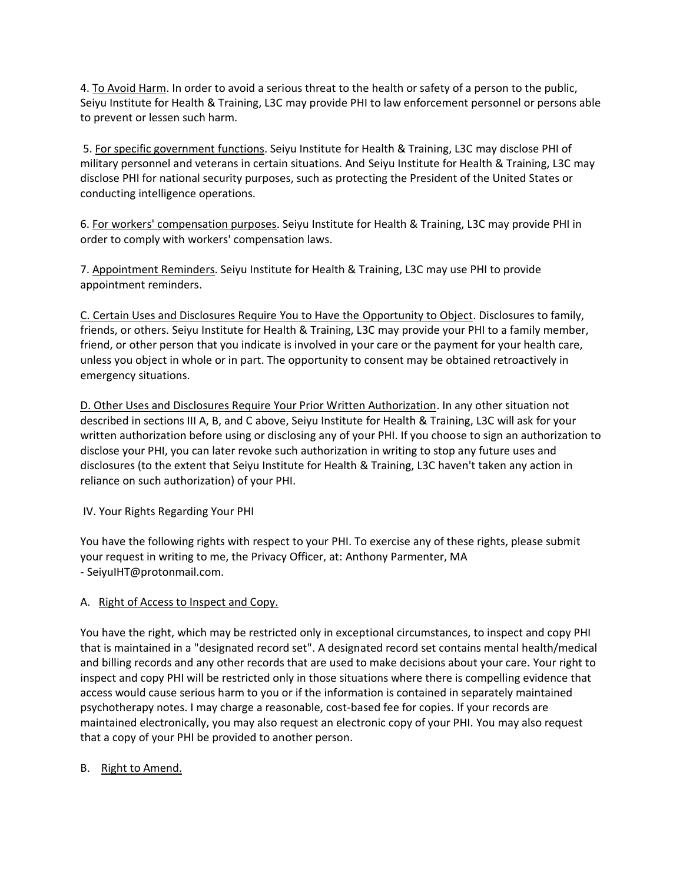4. To Avoid Harm. In order to avoid a serious threat to the health or safety of a person to the public, Seiyu Institute for Health & Training, L3C may provide PHI to law enforcement personnel or persons able to prevent or lessen such harm.

5. For specific government functions. Seiyu Institute for Health & Training, L3C may disclose PHI of military personnel and veterans in certain situations. And Seiyu Institute for Health & Training, L3C may disclose PHI for national security purposes, such as protecting the President of the United States or conducting intelligence operations.

6. For workers' compensation purposes. Seiyu Institute for Health & Training, L3C may provide PHI in order to comply with workers' compensation laws.

7. Appointment Reminders. Seiyu Institute for Health & Training, L3C may use PHI to provide appointment reminders.

C. Certain Uses and Disclosures Require You to Have the Opportunity to Object. Disclosures to family, friends, or others. Seiyu Institute for Health & Training, L3C may provide your PHI to a family member, friend, or other person that you indicate is involved in your care or the payment for your health care, unless you object in whole or in part. The opportunity to consent may be obtained retroactively in emergency situations.

D. Other Uses and Disclosures Require Your Prior Written Authorization. In any other situation not described in sections III A, B, and C above, Seiyu Institute for Health & Training, L3C will ask for your written authorization before using or disclosing any of your PHI. If you choose to sign an authorization to disclose your PHI, you can later revoke such authorization in writing to stop any future uses and disclosures (to the extent that Seiyu Institute for Health & Training, L3C haven't taken any action in reliance on such authorization) of your PHI.

IV. Your Rights Regarding Your PHI

You have the following rights with respect to your PHI. To exercise any of these rights, please submit your request in writing to me, the Privacy Officer, at: Anthony Parmenter, MA - SeiyuIHT@protonmail.com.

## A. Right of Access to Inspect and Copy.

You have the right, which may be restricted only in exceptional circumstances, to inspect and copy PHI that is maintained in a "designated record set". A designated record set contains mental health/medical and billing records and any other records that are used to make decisions about your care. Your right to inspect and copy PHI will be restricted only in those situations where there is compelling evidence that access would cause serious harm to you or if the information is contained in separately maintained psychotherapy notes. I may charge a reasonable, cost-based fee for copies. If your records are maintained electronically, you may also request an electronic copy of your PHI. You may also request that a copy of your PHI be provided to another person.

B. Right to Amend.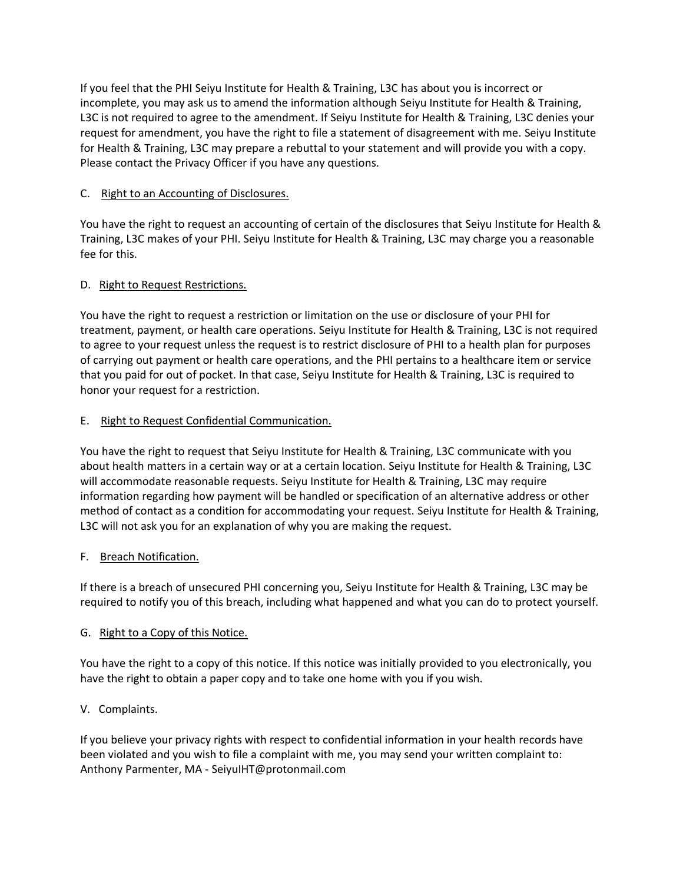If you feel that the PHI Seiyu Institute for Health & Training, L3C has about you is incorrect or incomplete, you may ask us to amend the information although Seiyu Institute for Health & Training, L3C is not required to agree to the amendment. If Seiyu Institute for Health & Training, L3C denies your request for amendment, you have the right to file a statement of disagreement with me. Seiyu Institute for Health & Training, L3C may prepare a rebuttal to your statement and will provide you with a copy. Please contact the Privacy Officer if you have any questions.

# C. Right to an Accounting of Disclosures.

You have the right to request an accounting of certain of the disclosures that Seiyu Institute for Health & Training, L3C makes of your PHI. Seiyu Institute for Health & Training, L3C may charge you a reasonable fee for this.

# D. Right to Request Restrictions.

You have the right to request a restriction or limitation on the use or disclosure of your PHI for treatment, payment, or health care operations. Seiyu Institute for Health & Training, L3C is not required to agree to your request unless the request is to restrict disclosure of PHI to a health plan for purposes of carrying out payment or health care operations, and the PHI pertains to a healthcare item or service that you paid for out of pocket. In that case, Seiyu Institute for Health & Training, L3C is required to honor your request for a restriction.

# E. Right to Request Confidential Communication.

You have the right to request that Seiyu Institute for Health & Training, L3C communicate with you about health matters in a certain way or at a certain location. Seiyu Institute for Health & Training, L3C will accommodate reasonable requests. Seiyu Institute for Health & Training, L3C may require information regarding how payment will be handled or specification of an alternative address or other method of contact as a condition for accommodating your request. Seiyu Institute for Health & Training, L3C will not ask you for an explanation of why you are making the request.

## F. Breach Notification.

If there is a breach of unsecured PHI concerning you, Seiyu Institute for Health & Training, L3C may be required to notify you of this breach, including what happened and what you can do to protect yourself.

## G. Right to a Copy of this Notice.

You have the right to a copy of this notice. If this notice was initially provided to you electronically, you have the right to obtain a paper copy and to take one home with you if you wish.

# V. Complaints.

If you believe your privacy rights with respect to confidential information in your health records have been violated and you wish to file a complaint with me, you may send your written complaint to: Anthony Parmenter, MA - SeiyuIHT@protonmail.com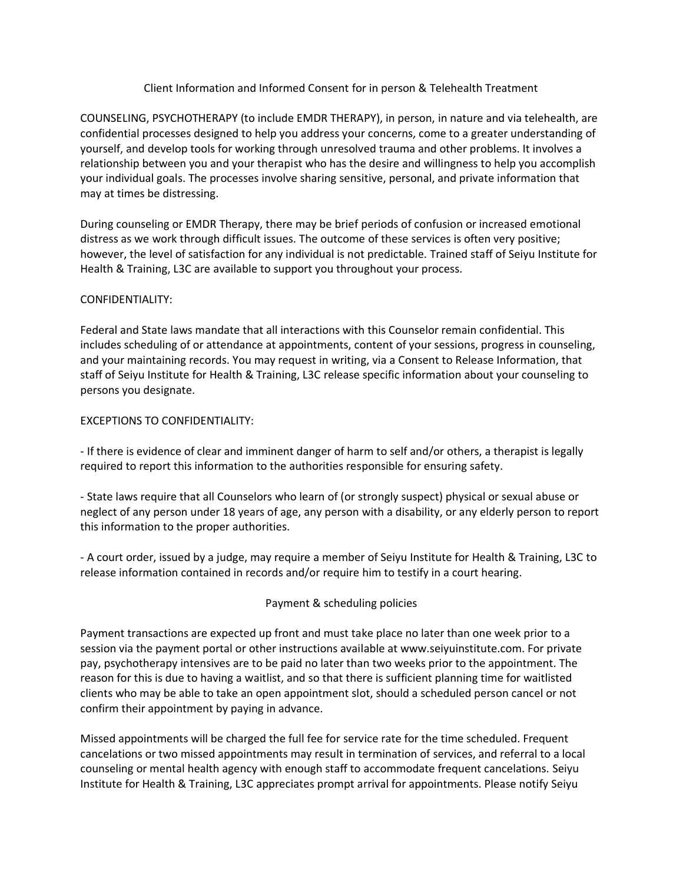## Client Information and Informed Consent for in person & Telehealth Treatment

COUNSELING, PSYCHOTHERAPY (to include EMDR THERAPY), in person, in nature and via telehealth, are confidential processes designed to help you address your concerns, come to a greater understanding of yourself, and develop tools for working through unresolved trauma and other problems. It involves a relationship between you and your therapist who has the desire and willingness to help you accomplish your individual goals. The processes involve sharing sensitive, personal, and private information that may at times be distressing.

During counseling or EMDR Therapy, there may be brief periods of confusion or increased emotional distress as we work through difficult issues. The outcome of these services is often very positive; however, the level of satisfaction for any individual is not predictable. Trained staff of Seiyu Institute for Health & Training, L3C are available to support you throughout your process.

#### CONFIDENTIALITY:

Federal and State laws mandate that all interactions with this Counselor remain confidential. This includes scheduling of or attendance at appointments, content of your sessions, progress in counseling, and your maintaining records. You may request in writing, via a Consent to Release Information, that staff of Seiyu Institute for Health & Training, L3C release specific information about your counseling to persons you designate.

#### EXCEPTIONS TO CONFIDENTIALITY:

- If there is evidence of clear and imminent danger of harm to self and/or others, a therapist is legally required to report this information to the authorities responsible for ensuring safety.

- State laws require that all Counselors who learn of (or strongly suspect) physical or sexual abuse or neglect of any person under 18 years of age, any person with a disability, or any elderly person to report this information to the proper authorities.

- A court order, issued by a judge, may require a member of Seiyu Institute for Health & Training, L3C to release information contained in records and/or require him to testify in a court hearing.

## Payment & scheduling policies

Payment transactions are expected up front and must take place no later than one week prior to a session via the payment portal or other instructions available at www.seiyuinstitute.com. For private pay, psychotherapy intensives are to be paid no later than two weeks prior to the appointment. The reason for this is due to having a waitlist, and so that there is sufficient planning time for waitlisted clients who may be able to take an open appointment slot, should a scheduled person cancel or not confirm their appointment by paying in advance.

Missed appointments will be charged the full fee for service rate for the time scheduled. Frequent cancelations or two missed appointments may result in termination of services, and referral to a local counseling or mental health agency with enough staff to accommodate frequent cancelations. Seiyu Institute for Health & Training, L3C appreciates prompt arrival for appointments. Please notify Seiyu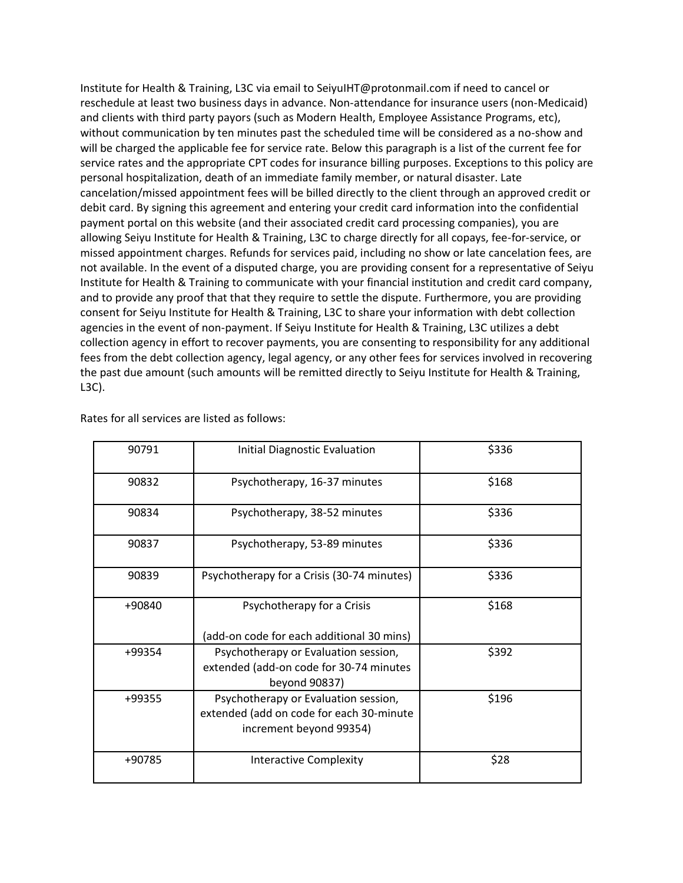Institute for Health & Training, L3C via email to SeiyuIHT@protonmail.com if need to cancel or reschedule at least two business days in advance. Non-attendance for insurance users (non-Medicaid) and clients with third party payors (such as Modern Health, Employee Assistance Programs, etc), without communication by ten minutes past the scheduled time will be considered as a no-show and will be charged the applicable fee for service rate. Below this paragraph is a list of the current fee for service rates and the appropriate CPT codes for insurance billing purposes. Exceptions to this policy are personal hospitalization, death of an immediate family member, or natural disaster. Late cancelation/missed appointment fees will be billed directly to the client through an approved credit or debit card. By signing this agreement and entering your credit card information into the confidential payment portal on this website (and their associated credit card processing companies), you are allowing Seiyu Institute for Health & Training, L3C to charge directly for all copays, fee-for-service, or missed appointment charges. Refunds for services paid, including no show or late cancelation fees, are not available. In the event of a disputed charge, you are providing consent for a representative of Seiyu Institute for Health & Training to communicate with your financial institution and credit card company, and to provide any proof that that they require to settle the dispute. Furthermore, you are providing consent for Seiyu Institute for Health & Training, L3C to share your information with debt collection agencies in the event of non-payment. If Seiyu Institute for Health & Training, L3C utilizes a debt collection agency in effort to recover payments, you are consenting to responsibility for any additional fees from the debt collection agency, legal agency, or any other fees for services involved in recovering the past due amount (such amounts will be remitted directly to Seiyu Institute for Health & Training, L3C).

| 90791  | <b>Initial Diagnostic Evaluation</b>                                                                        | \$336 |
|--------|-------------------------------------------------------------------------------------------------------------|-------|
| 90832  | Psychotherapy, 16-37 minutes                                                                                | \$168 |
| 90834  | Psychotherapy, 38-52 minutes                                                                                | \$336 |
| 90837  | Psychotherapy, 53-89 minutes                                                                                | \$336 |
| 90839  | Psychotherapy for a Crisis (30-74 minutes)                                                                  | \$336 |
| +90840 | Psychotherapy for a Crisis<br>(add-on code for each additional 30 mins)                                     | \$168 |
| +99354 | Psychotherapy or Evaluation session,<br>extended (add-on code for 30-74 minutes<br>beyond 90837)            | \$392 |
| +99355 | Psychotherapy or Evaluation session,<br>extended (add on code for each 30-minute<br>increment beyond 99354) | \$196 |
| +90785 | <b>Interactive Complexity</b>                                                                               | \$28  |

Rates for all services are listed as follows: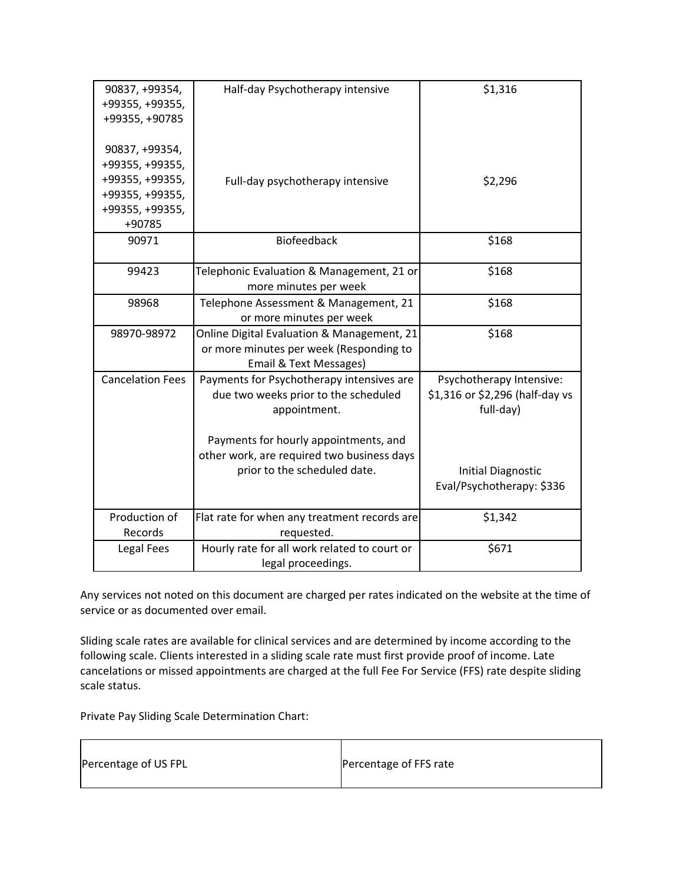| 90837, +99354,<br>+99355, +99355,<br>+99355, +90785                                                  | Half-day Psychotherapy intensive                                                                                                                                                                                         | \$1,316                                                                                                                            |
|------------------------------------------------------------------------------------------------------|--------------------------------------------------------------------------------------------------------------------------------------------------------------------------------------------------------------------------|------------------------------------------------------------------------------------------------------------------------------------|
| 90837, +99354,<br>+99355, +99355,<br>+99355, +99355,<br>+99355, +99355,<br>+99355, +99355,<br>+90785 | Full-day psychotherapy intensive                                                                                                                                                                                         | \$2,296                                                                                                                            |
| 90971                                                                                                | <b>Biofeedback</b>                                                                                                                                                                                                       | \$168                                                                                                                              |
| 99423                                                                                                | Telephonic Evaluation & Management, 21 or<br>more minutes per week                                                                                                                                                       | \$168                                                                                                                              |
| 98968                                                                                                | Telephone Assessment & Management, 21<br>or more minutes per week                                                                                                                                                        | \$168                                                                                                                              |
| 98970-98972                                                                                          | Online Digital Evaluation & Management, 21<br>or more minutes per week (Responding to<br>Email & Text Messages)                                                                                                          | \$168                                                                                                                              |
| <b>Cancelation Fees</b>                                                                              | Payments for Psychotherapy intensives are<br>due two weeks prior to the scheduled<br>appointment.<br>Payments for hourly appointments, and<br>other work, are required two business days<br>prior to the scheduled date. | Psychotherapy Intensive:<br>\$1,316 or \$2,296 (half-day vs<br>full-day)<br><b>Initial Diagnostic</b><br>Eval/Psychotherapy: \$336 |
| Production of<br>Records                                                                             | Flat rate for when any treatment records are<br>requested.                                                                                                                                                               | \$1,342                                                                                                                            |
| Legal Fees                                                                                           | Hourly rate for all work related to court or<br>legal proceedings.                                                                                                                                                       | \$671                                                                                                                              |

Any services not noted on this document are charged per rates indicated on the website at the time of service or as documented over email.

Sliding scale rates are available for clinical services and are determined by income according to the following scale. Clients interested in a sliding scale rate must first provide proof of income. Late cancelations or missed appointments are charged at the full Fee For Service (FFS) rate despite sliding scale status.

Private Pay Sliding Scale Determination Chart:

| Percentage of US FPL | Percentage of FFS rate |
|----------------------|------------------------|
|                      |                        |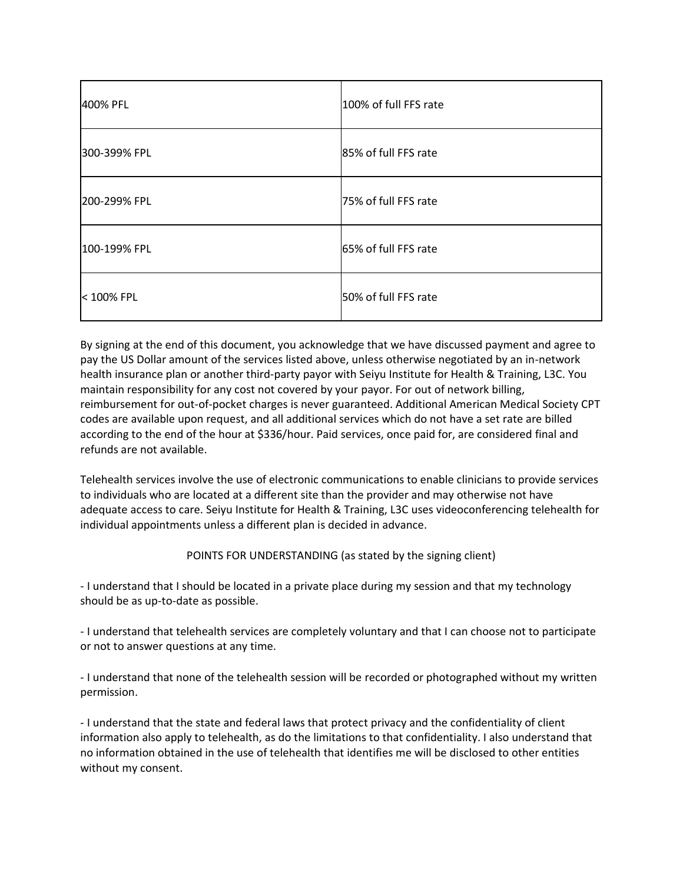| 400% PFL     | 100% of full FFS rate |
|--------------|-----------------------|
| 300-399% FPL | 85% of full FFS rate  |
| 200-299% FPL | 75% of full FFS rate  |
| 100-199% FPL | 65% of full FFS rate  |
| < 100% FPL   | 50% of full FFS rate  |

By signing at the end of this document, you acknowledge that we have discussed payment and agree to pay the US Dollar amount of the services listed above, unless otherwise negotiated by an in-network health insurance plan or another third-party payor with Seiyu Institute for Health & Training, L3C. You maintain responsibility for any cost not covered by your payor. For out of network billing, reimbursement for out-of-pocket charges is never guaranteed. Additional American Medical Society CPT codes are available upon request, and all additional services which do not have a set rate are billed according to the end of the hour at \$336/hour. Paid services, once paid for, are considered final and refunds are not available.

Telehealth services involve the use of electronic communications to enable clinicians to provide services to individuals who are located at a different site than the provider and may otherwise not have adequate access to care. Seiyu Institute for Health & Training, L3C uses videoconferencing telehealth for individual appointments unless a different plan is decided in advance.

# POINTS FOR UNDERSTANDING (as stated by the signing client)

- I understand that I should be located in a private place during my session and that my technology should be as up-to-date as possible.

- I understand that telehealth services are completely voluntary and that I can choose not to participate or not to answer questions at any time.

- I understand that none of the telehealth session will be recorded or photographed without my written permission.

- I understand that the state and federal laws that protect privacy and the confidentiality of client information also apply to telehealth, as do the limitations to that confidentiality. I also understand that no information obtained in the use of telehealth that identifies me will be disclosed to other entities without my consent.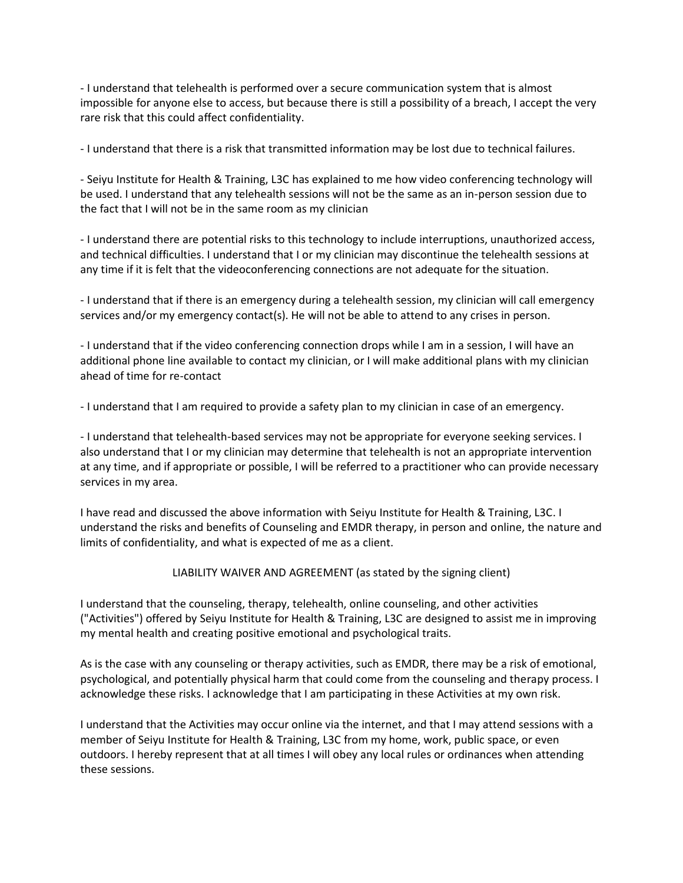- I understand that telehealth is performed over a secure communication system that is almost impossible for anyone else to access, but because there is still a possibility of a breach, I accept the very rare risk that this could affect confidentiality.

- I understand that there is a risk that transmitted information may be lost due to technical failures.

- Seiyu Institute for Health & Training, L3C has explained to me how video conferencing technology will be used. I understand that any telehealth sessions will not be the same as an in-person session due to the fact that I will not be in the same room as my clinician

- I understand there are potential risks to this technology to include interruptions, unauthorized access, and technical difficulties. I understand that I or my clinician may discontinue the telehealth sessions at any time if it is felt that the videoconferencing connections are not adequate for the situation.

- I understand that if there is an emergency during a telehealth session, my clinician will call emergency services and/or my emergency contact(s). He will not be able to attend to any crises in person.

- I understand that if the video conferencing connection drops while I am in a session, I will have an additional phone line available to contact my clinician, or I will make additional plans with my clinician ahead of time for re-contact

- I understand that I am required to provide a safety plan to my clinician in case of an emergency.

- I understand that telehealth-based services may not be appropriate for everyone seeking services. I also understand that I or my clinician may determine that telehealth is not an appropriate intervention at any time, and if appropriate or possible, I will be referred to a practitioner who can provide necessary services in my area.

I have read and discussed the above information with Seiyu Institute for Health & Training, L3C. I understand the risks and benefits of Counseling and EMDR therapy, in person and online, the nature and limits of confidentiality, and what is expected of me as a client.

LIABILITY WAIVER AND AGREEMENT (as stated by the signing client)

I understand that the counseling, therapy, telehealth, online counseling, and other activities ("Activities") offered by Seiyu Institute for Health & Training, L3C are designed to assist me in improving my mental health and creating positive emotional and psychological traits.

As is the case with any counseling or therapy activities, such as EMDR, there may be a risk of emotional, psychological, and potentially physical harm that could come from the counseling and therapy process. I acknowledge these risks. I acknowledge that I am participating in these Activities at my own risk.

I understand that the Activities may occur online via the internet, and that I may attend sessions with a member of Seiyu Institute for Health & Training, L3C from my home, work, public space, or even outdoors. I hereby represent that at all times I will obey any local rules or ordinances when attending these sessions.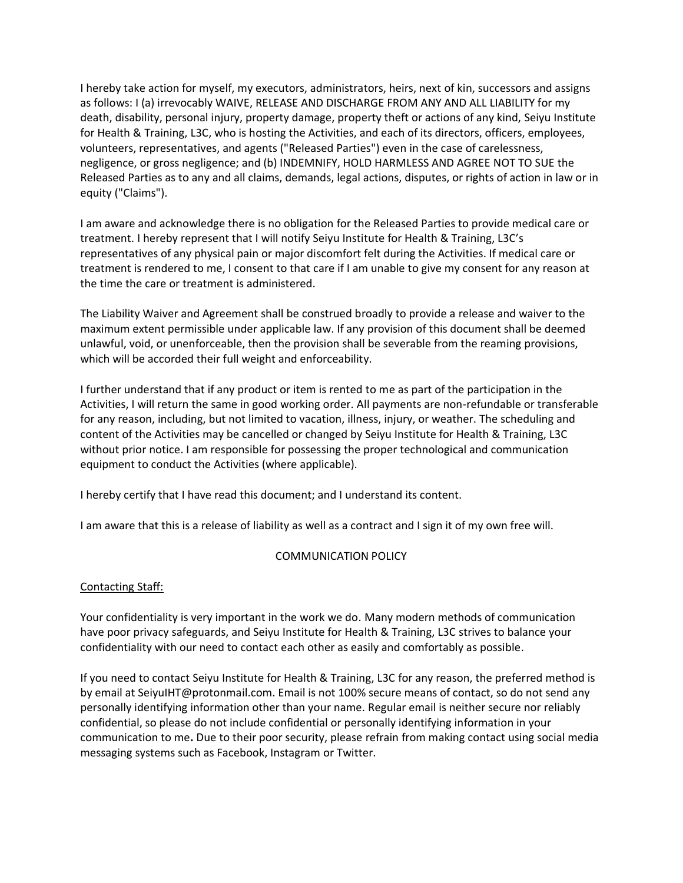I hereby take action for myself, my executors, administrators, heirs, next of kin, successors and assigns as follows: I (a) irrevocably WAIVE, RELEASE AND DISCHARGE FROM ANY AND ALL LIABILITY for my death, disability, personal injury, property damage, property theft or actions of any kind, Seiyu Institute for Health & Training, L3C, who is hosting the Activities, and each of its directors, officers, employees, volunteers, representatives, and agents ("Released Parties") even in the case of carelessness, negligence, or gross negligence; and (b) INDEMNIFY, HOLD HARMLESS AND AGREE NOT TO SUE the Released Parties as to any and all claims, demands, legal actions, disputes, or rights of action in law or in equity ("Claims").

I am aware and acknowledge there is no obligation for the Released Parties to provide medical care or treatment. I hereby represent that I will notify Seiyu Institute for Health & Training, L3C's representatives of any physical pain or major discomfort felt during the Activities. If medical care or treatment is rendered to me, I consent to that care if I am unable to give my consent for any reason at the time the care or treatment is administered.

The Liability Waiver and Agreement shall be construed broadly to provide a release and waiver to the maximum extent permissible under applicable law. If any provision of this document shall be deemed unlawful, void, or unenforceable, then the provision shall be severable from the reaming provisions, which will be accorded their full weight and enforceability.

I further understand that if any product or item is rented to me as part of the participation in the Activities, I will return the same in good working order. All payments are non-refundable or transferable for any reason, including, but not limited to vacation, illness, injury, or weather. The scheduling and content of the Activities may be cancelled or changed by Seiyu Institute for Health & Training, L3C without prior notice. I am responsible for possessing the proper technological and communication equipment to conduct the Activities (where applicable).

I hereby certify that I have read this document; and I understand its content.

I am aware that this is a release of liability as well as a contract and I sign it of my own free will.

## COMMUNICATION POLICY

## Contacting Staff:

Your confidentiality is very important in the work we do. Many modern methods of communication have poor privacy safeguards, and Seiyu Institute for Health & Training, L3C strives to balance your confidentiality with our need to contact each other as easily and comfortably as possible.

If you need to contact Seiyu Institute for Health & Training, L3C for any reason, the preferred method is by email at SeiyuIHT@protonmail.com. Email is not 100% secure means of contact, so do not send any personally identifying information other than your name. Regular email is neither secure nor reliably confidential, so please do not include confidential or personally identifying information in your communication to me**.** Due to their poor security, please refrain from making contact using social media messaging systems such as Facebook, Instagram or Twitter.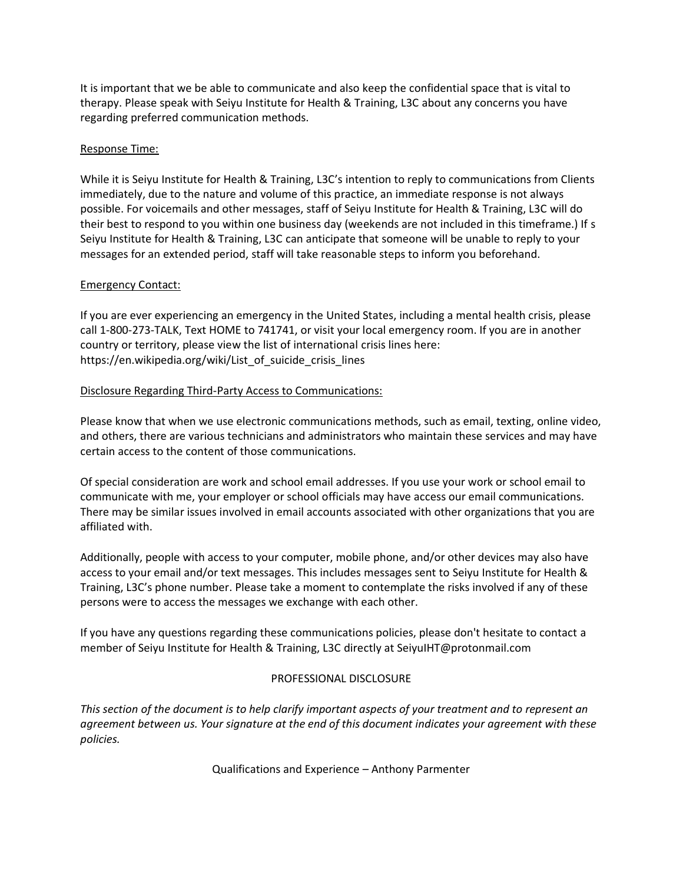It is important that we be able to communicate and also keep the confidential space that is vital to therapy. Please speak with Seiyu Institute for Health & Training, L3C about any concerns you have regarding preferred communication methods.

#### Response Time:

While it is Seiyu Institute for Health & Training, L3C's intention to reply to communications from Clients immediately, due to the nature and volume of this practice, an immediate response is not always possible. For voicemails and other messages, staff of Seiyu Institute for Health & Training, L3C will do their best to respond to you within one business day (weekends are not included in this timeframe.) If s Seiyu Institute for Health & Training, L3C can anticipate that someone will be unable to reply to your messages for an extended period, staff will take reasonable steps to inform you beforehand.

#### Emergency Contact:

If you are ever experiencing an emergency in the United States, including a mental health crisis, please call 1-800-273-TALK, Text HOME to 741741, or visit your local emergency room. If you are in another country or territory, please view the list of international crisis lines here: https://en.wikipedia.org/wiki/List of suicide crisis lines

#### Disclosure Regarding Third-Party Access to Communications:

Please know that when we use electronic communications methods, such as email, texting, online video, and others, there are various technicians and administrators who maintain these services and may have certain access to the content of those communications.

Of special consideration are work and school email addresses. If you use your work or school email to communicate with me, your employer or school officials may have access our email communications. There may be similar issues involved in email accounts associated with other organizations that you are affiliated with.

Additionally, people with access to your computer, mobile phone, and/or other devices may also have access to your email and/or text messages. This includes messages sent to Seiyu Institute for Health & Training, L3C's phone number. Please take a moment to contemplate the risks involved if any of these persons were to access the messages we exchange with each other.

If you have any questions regarding these communications policies, please don't hesitate to contact a member of Seiyu Institute for Health & Training, L3C directly at SeiyuIHT@protonmail.com

## PROFESSIONAL DISCLOSURE

*This section of the document is to help clarify important aspects of your treatment and to represent an agreement between us. Your signature at the end of this document indicates your agreement with these policies.* 

Qualifications and Experience – Anthony Parmenter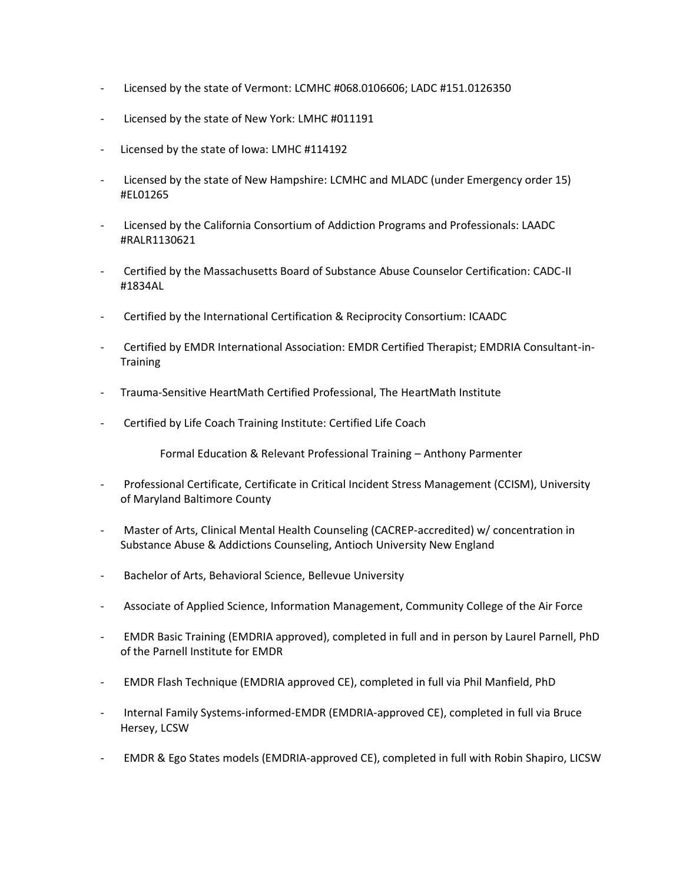- Licensed by the state of Vermont: LCMHC #068.0106606; LADC #151.0126350
- Licensed by the state of New York: LMHC #011191
- Licensed by the state of Iowa: LMHC #114192
- Licensed by the state of New Hampshire: LCMHC and MLADC (under Emergency order 15) #EL01265
- Licensed by the California Consortium of Addiction Programs and Professionals: LAADC #RALR1130621
- Certified by the Massachusetts Board of Substance Abuse Counselor Certification: CADC-II #1834AL
- Certified by the International Certification & Reciprocity Consortium: ICAADC
- Certified by EMDR International Association: EMDR Certified Therapist; EMDRIA Consultant-in-**Training**
- Trauma-Sensitive HeartMath Certified Professional, The HeartMath Institute
- Certified by Life Coach Training Institute: Certified Life Coach

Formal Education & Relevant Professional Training – Anthony Parmenter

- Professional Certificate, Certificate in Critical Incident Stress Management (CCISM), University of Maryland Baltimore County
- Master of Arts, Clinical Mental Health Counseling (CACREP-accredited) w/ concentration in Substance Abuse & Addictions Counseling, Antioch University New England
- Bachelor of Arts, Behavioral Science, Bellevue University
- Associate of Applied Science, Information Management, Community College of the Air Force
- EMDR Basic Training (EMDRIA approved), completed in full and in person by Laurel Parnell, PhD of the Parnell Institute for EMDR
- EMDR Flash Technique (EMDRIA approved CE), completed in full via Phil Manfield, PhD
- Internal Family Systems-informed-EMDR (EMDRIA-approved CE), completed in full via Bruce Hersey, LCSW
- EMDR & Ego States models (EMDRIA-approved CE), completed in full with Robin Shapiro, LICSW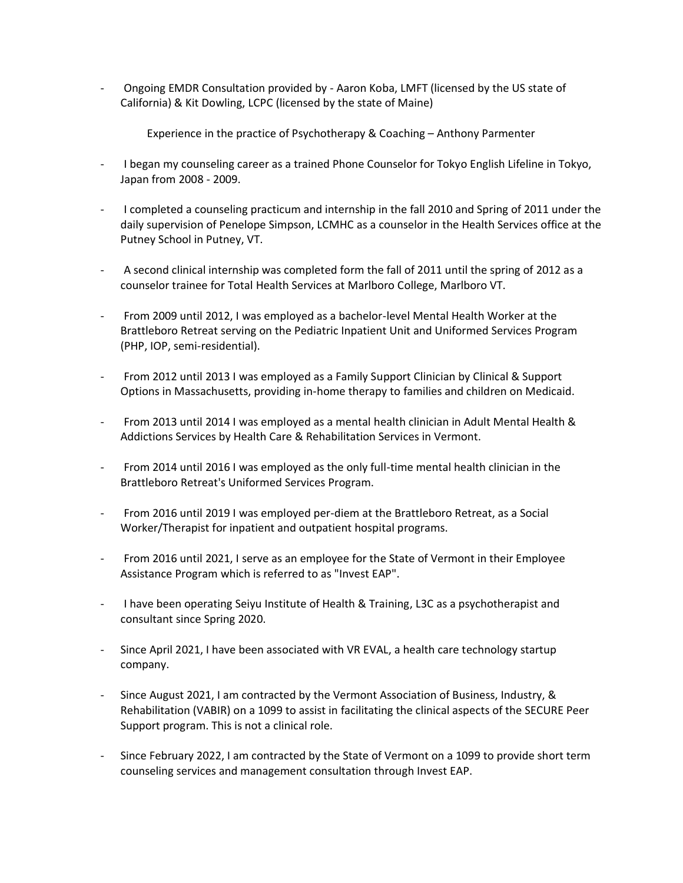- Ongoing EMDR Consultation provided by - Aaron Koba, LMFT (licensed by the US state of California) & Kit Dowling, LCPC (licensed by the state of Maine)

Experience in the practice of Psychotherapy & Coaching – Anthony Parmenter

- I began my counseling career as a trained Phone Counselor for Tokyo English Lifeline in Tokyo, Japan from 2008 - 2009.
- I completed a counseling practicum and internship in the fall 2010 and Spring of 2011 under the daily supervision of Penelope Simpson, LCMHC as a counselor in the Health Services office at the Putney School in Putney, VT.
- A second clinical internship was completed form the fall of 2011 until the spring of 2012 as a counselor trainee for Total Health Services at Marlboro College, Marlboro VT.
- From 2009 until 2012, I was employed as a bachelor-level Mental Health Worker at the Brattleboro Retreat serving on the Pediatric Inpatient Unit and Uniformed Services Program (PHP, IOP, semi-residential).
- From 2012 until 2013 I was employed as a Family Support Clinician by Clinical & Support Options in Massachusetts, providing in-home therapy to families and children on Medicaid.
- From 2013 until 2014 I was employed as a mental health clinician in Adult Mental Health & Addictions Services by Health Care & Rehabilitation Services in Vermont.
- From 2014 until 2016 I was employed as the only full-time mental health clinician in the Brattleboro Retreat's Uniformed Services Program.
- From 2016 until 2019 I was employed per-diem at the Brattleboro Retreat, as a Social Worker/Therapist for inpatient and outpatient hospital programs.
- From 2016 until 2021, I serve as an employee for the State of Vermont in their Employee Assistance Program which is referred to as "Invest EAP".
- I have been operating Seiyu Institute of Health & Training, L3C as a psychotherapist and consultant since Spring 2020.
- Since April 2021, I have been associated with VR EVAL, a health care technology startup company.
- Since August 2021, I am contracted by the Vermont Association of Business, Industry, & Rehabilitation (VABIR) on a 1099 to assist in facilitating the clinical aspects of the SECURE Peer Support program. This is not a clinical role.
- Since February 2022, I am contracted by the State of Vermont on a 1099 to provide short term counseling services and management consultation through Invest EAP.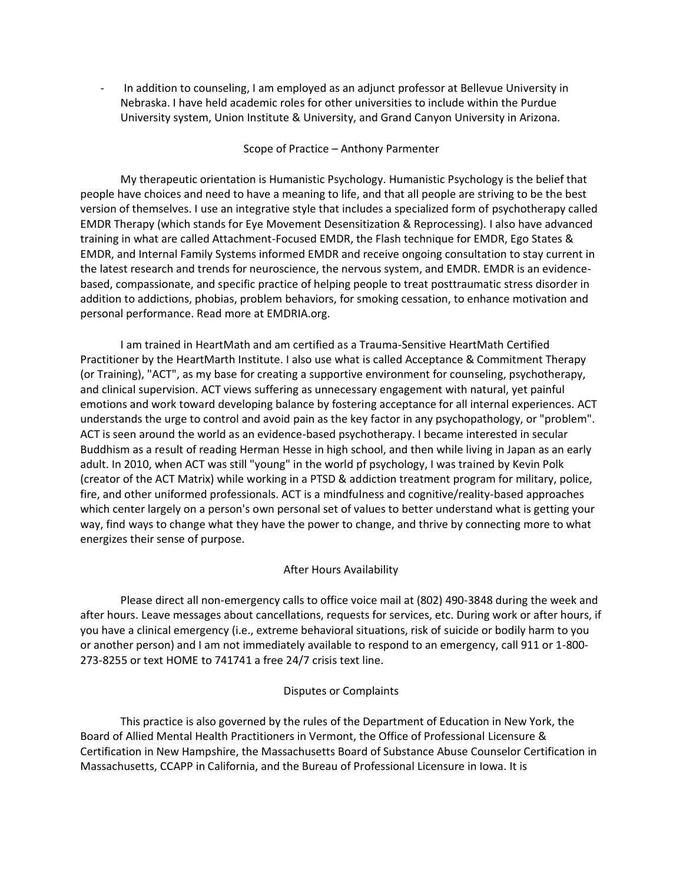In addition to counseling, I am employed as an adjunct professor at Bellevue University in Nebraska. I have held academic roles for other universities to include within the Purdue University system, Union Institute & University, and Grand Canyon University in Arizona.

#### Scope of Practice – Anthony Parmenter

My therapeutic orientation is Humanistic Psychology. Humanistic Psychology is the belief that people have choices and need to have a meaning to life, and that all people are striving to be the best version of themselves. I use an integrative style that includes a specialized form of psychotherapy called EMDR Therapy (which stands for Eye Movement Desensitization & Reprocessing). I also have advanced training in what are called Attachment-Focused EMDR, the Flash technique for EMDR, Ego States & EMDR, and Internal Family Systems informed EMDR and receive ongoing consultation to stay current in the latest research and trends for neuroscience, the nervous system, and EMDR. EMDR is an evidencebased, compassionate, and specific practice of helping people to treat posttraumatic stress disorder in addition to addictions, phobias, problem behaviors, for smoking cessation, to enhance motivation and personal performance. Read more at EMDRIA.org.

I am trained in HeartMath and am certified as a Trauma-Sensitive HeartMath Certified Practitioner by the HeartMarth Institute. I also use what is called Acceptance & Commitment Therapy (or Training), "ACT", as my base for creating a supportive environment for counseling, psychotherapy, and clinical supervision. ACT views suffering as unnecessary engagement with natural, yet painful emotions and work toward developing balance by fostering acceptance for all internal experiences. ACT understands the urge to control and avoid pain as the key factor in any psychopathology, or "problem". ACT is seen around the world as an evidence-based psychotherapy. I became interested in secular Buddhism as a result of reading Herman Hesse in high school, and then while living in Japan as an early adult. In 2010, when ACT was still "young" in the world pf psychology, I was trained by Kevin Polk (creator of the ACT Matrix) while working in a PTSD & addiction treatment program for military, police, fire, and other uniformed professionals. ACT is a mindfulness and cognitive/reality-based approaches which center largely on a person's own personal set of values to better understand what is getting your way, find ways to change what they have the power to change, and thrive by connecting more to what energizes their sense of purpose.

## After Hours Availability

Please direct all non-emergency calls to office voice mail at (802) 490-3848 during the week and after hours. Leave messages about cancellations, requests for services, etc. During work or after hours, if you have a clinical emergency (i.e., extreme behavioral situations, risk of suicide or bodily harm to you or another person) and I am not immediately available to respond to an emergency, call 911 or 1-800- 273-8255 or text HOME to 741741 a free 24/7 crisis text line.

## Disputes or Complaints

This practice is also governed by the rules of the Department of Education in New York, the Board of Allied Mental Health Practitioners in Vermont, the Office of Professional Licensure & Certification in New Hampshire, the Massachusetts Board of Substance Abuse Counselor Certification in Massachusetts, CCAPP in California, and the Bureau of Professional Licensure in Iowa. It is